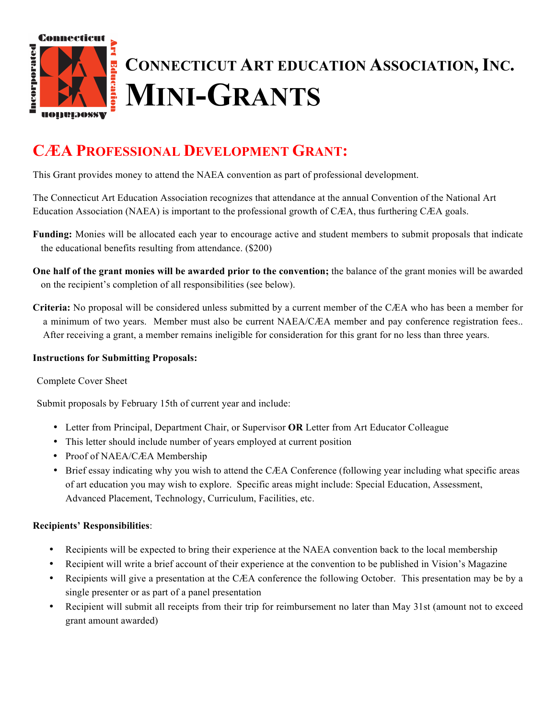

# **CÆA PROFESSIONAL DEVELOPMENT GRANT:**

This Grant provides money to attend the NAEA convention as part of professional development.

The Connecticut Art Education Association recognizes that attendance at the annual Convention of the National Art Education Association (NAEA) is important to the professional growth of CÆA, thus furthering CÆA goals.

- **Funding:** Monies will be allocated each year to encourage active and student members to submit proposals that indicate the educational benefits resulting from attendance. (\$200)
- **One half of the grant monies will be awarded prior to the convention;** the balance of the grant monies will be awarded on the recipient's completion of all responsibilities (see below).
- **Criteria:** No proposal will be considered unless submitted by a current member of the CÆA who has been a member for a minimum of two years. Member must also be current NAEA/CÆA member and pay conference registration fees.. After receiving a grant, a member remains ineligible for consideration for this grant for no less than three years.

#### **Instructions for Submitting Proposals:**

#### Complete Cover Sheet

Submit proposals by February 15th of current year and include:

- Letter from Principal, Department Chair, or Supervisor **OR** Letter from Art Educator Colleague
- This letter should include number of years employed at current position
- Proof of NAEA/CÆA Membership
- Brief essay indicating why you wish to attend the CÆA Conference (following year including what specific areas of art education you may wish to explore. Specific areas might include: Special Education, Assessment, Advanced Placement, Technology, Curriculum, Facilities, etc.

#### **Recipients' Responsibilities**:

- Recipients will be expected to bring their experience at the NAEA convention back to the local membership
- Recipient will write a brief account of their experience at the convention to be published in Vision's Magazine
- Recipients will give a presentation at the CÆA conference the following October. This presentation may be by a single presenter or as part of a panel presentation
- Recipient will submit all receipts from their trip for reimbursement no later than May 31st (amount not to exceed grant amount awarded)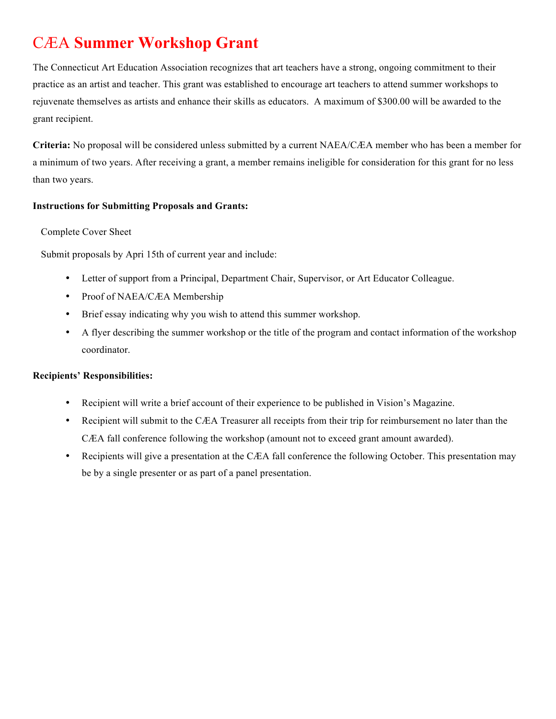# CÆA **Summer Workshop Grant**

The Connecticut Art Education Association recognizes that art teachers have a strong, ongoing commitment to their practice as an artist and teacher. This grant was established to encourage art teachers to attend summer workshops to rejuvenate themselves as artists and enhance their skills as educators. A maximum of \$300.00 will be awarded to the grant recipient.

**Criteria:** No proposal will be considered unless submitted by a current NAEA/CÆA member who has been a member for a minimum of two years. After receiving a grant, a member remains ineligible for consideration for this grant for no less than two years.

#### **Instructions for Submitting Proposals and Grants:**

#### Complete Cover Sheet

Submit proposals by Apri 15th of current year and include:

- Letter of support from a Principal, Department Chair, Supervisor, or Art Educator Colleague.
- Proof of NAEA/CÆA Membership
- Brief essay indicating why you wish to attend this summer workshop.
- A flyer describing the summer workshop or the title of the program and contact information of the workshop coordinator.

#### **Recipients' Responsibilities:**

- Recipient will write a brief account of their experience to be published in Vision's Magazine.
- Recipient will submit to the CÆA Treasurer all receipts from their trip for reimbursement no later than the CÆA fall conference following the workshop (amount not to exceed grant amount awarded).
- Recipients will give a presentation at the CÆA fall conference the following October. This presentation may be by a single presenter or as part of a panel presentation.